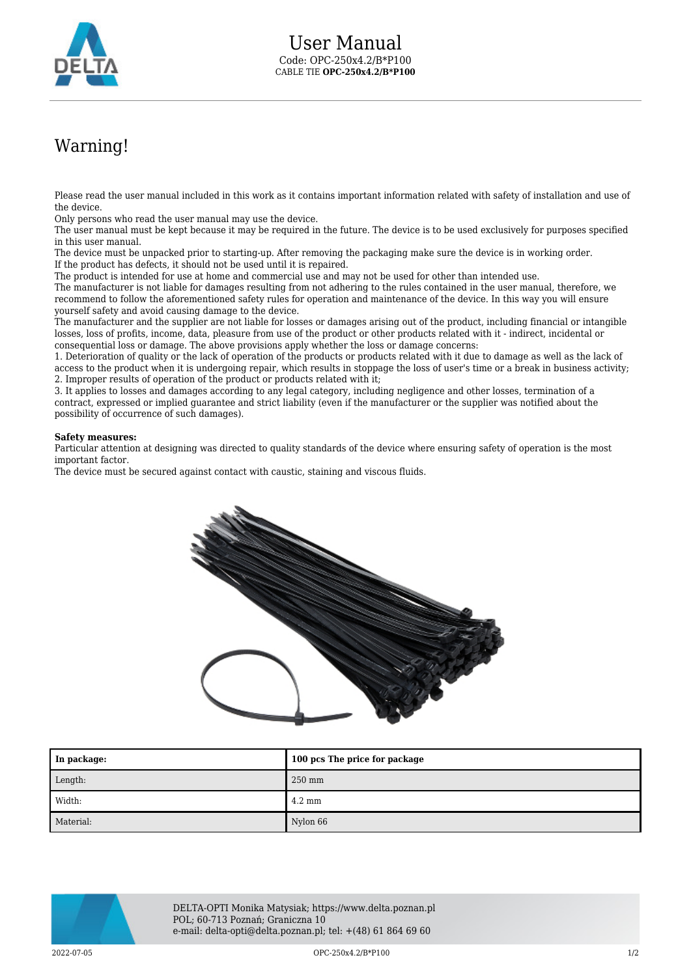

## Warning!

Please read the user manual included in this work as it contains important information related with safety of installation and use of the device.

Only persons who read the user manual may use the device.

The user manual must be kept because it may be required in the future. The device is to be used exclusively for purposes specified in this user manual.

The device must be unpacked prior to starting-up. After removing the packaging make sure the device is in working order. If the product has defects, it should not be used until it is repaired.

The product is intended for use at home and commercial use and may not be used for other than intended use.

The manufacturer is not liable for damages resulting from not adhering to the rules contained in the user manual, therefore, we recommend to follow the aforementioned safety rules for operation and maintenance of the device. In this way you will ensure yourself safety and avoid causing damage to the device.

The manufacturer and the supplier are not liable for losses or damages arising out of the product, including financial or intangible losses, loss of profits, income, data, pleasure from use of the product or other products related with it - indirect, incidental or consequential loss or damage. The above provisions apply whether the loss or damage concerns:

1. Deterioration of quality or the lack of operation of the products or products related with it due to damage as well as the lack of access to the product when it is undergoing repair, which results in stoppage the loss of user's time or a break in business activity; 2. Improper results of operation of the product or products related with it;

3. It applies to losses and damages according to any legal category, including negligence and other losses, termination of a contract, expressed or implied guarantee and strict liability (even if the manufacturer or the supplier was notified about the possibility of occurrence of such damages).

## **Safety measures:**

Particular attention at designing was directed to quality standards of the device where ensuring safety of operation is the most important factor.

The device must be secured against contact with caustic, staining and viscous fluids.



| In package: | 100 pcs The price for package |
|-------------|-------------------------------|
| Length:     | $250$ mm                      |
| Width:      | $4.2 \text{ mm}$              |
| Material:   | Nylon 66                      |



DELTA-OPTI Monika Matysiak; https://www.delta.poznan.pl POL; 60-713 Poznań; Graniczna 10 e-mail: delta-opti@delta.poznan.pl; tel: +(48) 61 864 69 60

 $OPC-250x4.2/B*P100$  and the contract of the contract of the contract of the contract of the contract of the contract of the contract of the contract of the contract of the contract of the contract of the contract of the con